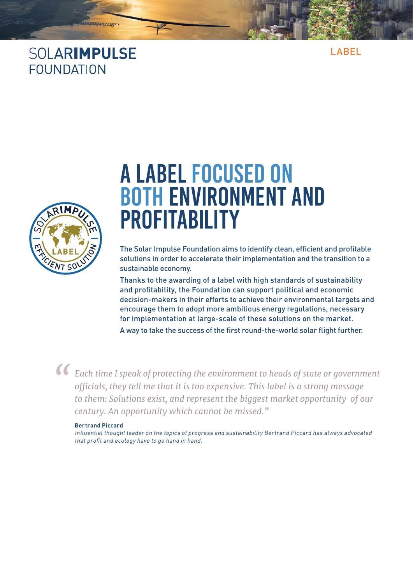#### SOLARIMPULSE **FOUNDATION**

**SARRAN** 

LABEL



# A LABEL FOCUSED ON BOTH ENVIRONMENT AND **PROFITABILITY**

The Solar Impulse Foundation aims to identify clean, efficient and profitable solutions in order to accelerate their implementation and the transition to a sustainable economy.

Thanks to the awarding of a label with high standards of sustainability and profitability, the Foundation can support political and economic decision-makers in their efforts to achieve their environmental targets and encourage them to adopt more ambitious energy regulations, necessary for implementation at large-scale of these solutions on the market.

A way to take the success of the first round-the-world solar flight further.



**Each time I speak of protecting the environment to heads of state or government officials, they tell me that it is too expensive. This label is a strong message** *officials, they tell me that it is too expensive. This label is a strong message to them: Solutions exist, and represent the biggest market opportunity of our century. An opportunity which cannot be missed."*

#### **Bertrand Piccard**

Influential thought leader on the topics of progress and sustainability Bertrand Piccard has always advocated that profit and ecology have to go hand in hand.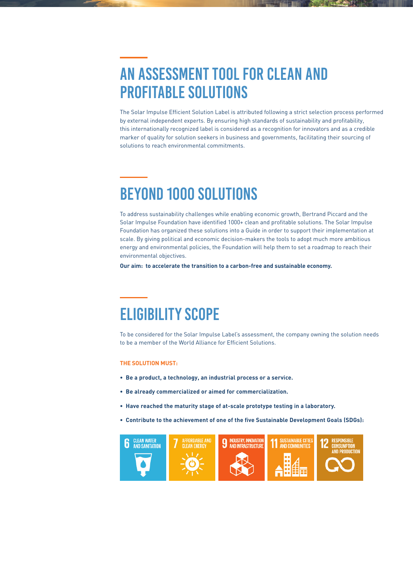### An assessment tool for clean and profitable Solutions

The Solar Impulse Efficient Solution Label is attributed following a strict selection process performed by external independent experts. By ensuring high standards of sustainability and profitability, this internationally recognized label is considered as a recognition for innovators and as a credible marker of quality for solution seekers in business and governments, facilitating their sourcing of solutions to reach environmental commitments.

### Beyond 1000 Solutions

To address sustainability challenges while enabling economic growth, Bertrand Piccard and the Solar Impulse Foundation have identified 1000+ clean and profitable solutions. The Solar Impulse Foundation has organized these solutions into a Guide in order to support their implementation at scale. By giving political and economic decision-makers the tools to adopt much more ambitious energy and environmental policies, the Foundation will help them to set a roadmap to reach their environmental objectives.

**Our aim: to accelerate the transition to a carbon-free and sustainable economy.**

# ELIGIBILITY SCOPE

To be considered for the Solar Impulse Label's assessment, the company owning the solution needs to be a member of the World Alliance for Efficient Solutions.

#### **THE SOLUTION MUST:**

- **Be a product, a technology, an industrial process or a service.**
- **Be already commercialized or aimed for commercialization.**
- **Have reached the maturity stage of at-scale prototype testing in a laboratory.**
- **Contribute to the achievement of one of the five Sustainable Development Goals (SDGs):**